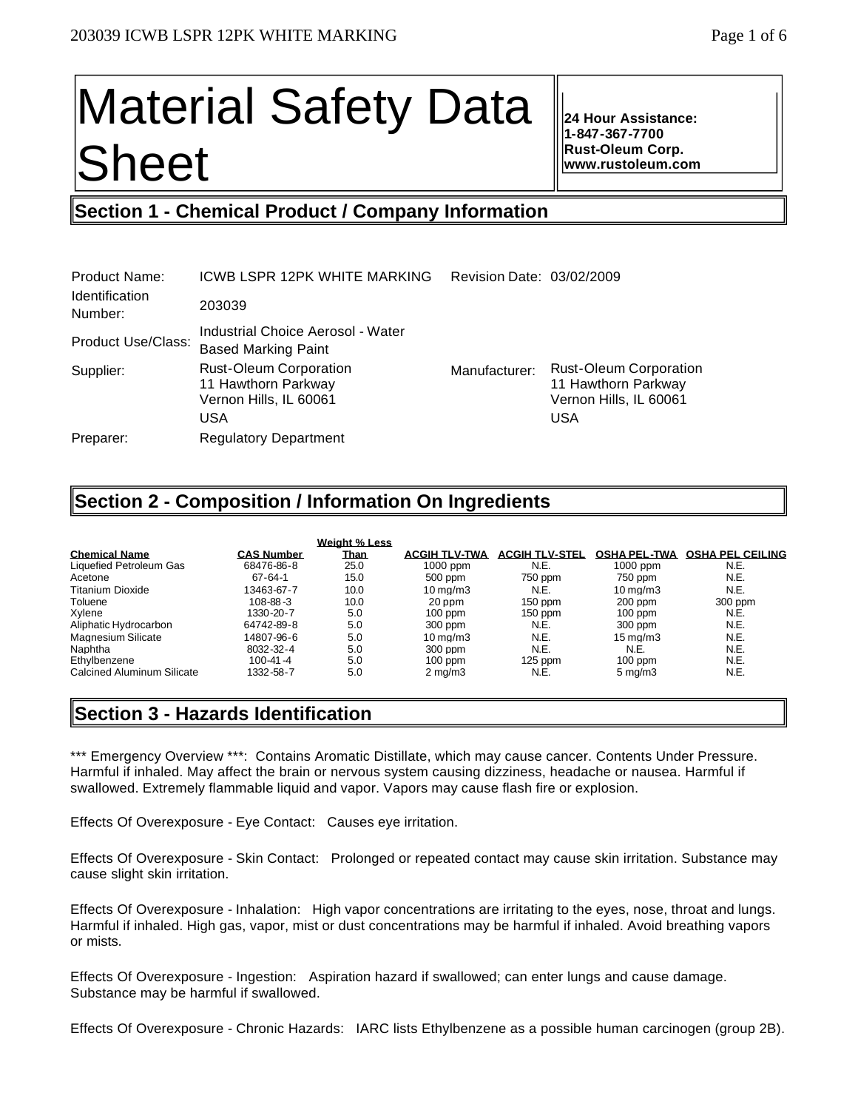# Material Safety Data Sheet

**24 Hour Assistance: 1-847-367-7700 Rust-Oleum Corp. www.rustoleum.com** 

# **Section 1 - Chemical Product / Company Information**

| Product Name:<br><b>Identification</b><br>Number: | ICWB LSPR 12PK WHITE MARKING<br>203039                                                | Revision Date: 03/02/2009 |                                                                                       |
|---------------------------------------------------|---------------------------------------------------------------------------------------|---------------------------|---------------------------------------------------------------------------------------|
| Product Use/Class:                                | Industrial Choice Aerosol - Water<br><b>Based Marking Paint</b>                       |                           |                                                                                       |
| Supplier:                                         | <b>Rust-Oleum Corporation</b><br>11 Hawthorn Parkway<br>Vernon Hills, IL 60061<br>USA | Manufacturer:             | <b>Rust-Oleum Corporation</b><br>11 Hawthorn Parkway<br>Vernon Hills, IL 60061<br>USA |
| Preparer:                                         | <b>Regulatory Department</b>                                                          |                           |                                                                                       |

## **Section 2 - Composition / Information On Ingredients**

|                                   |                   | <b>Weight % Less</b> |                       |                       |                      |                         |
|-----------------------------------|-------------------|----------------------|-----------------------|-----------------------|----------------------|-------------------------|
| <b>Chemical Name</b>              | <b>CAS Number</b> | Than                 | <b>ACGIH TLV-TWA</b>  | <b>ACGIH TLV-STEL</b> | <b>OSHA PEL-TWA</b>  | <b>OSHA PEL CEILING</b> |
| Liquefied Petroleum Gas           | 68476-86-8        | 25.0                 | $1000$ ppm            | N.E.                  | 1000 ppm             | N.E.                    |
| Acetone                           | $67 - 64 - 1$     | 15.0                 | 500 ppm               | 750 ppm               | 750 ppm              | N.E.                    |
| <b>Titanium Dioxide</b>           | 13463-67-7        | 10.0                 | $10 \,\mathrm{ma/m3}$ | N.E.                  | $10 \,\mathrm{ma/m}$ | N.E.                    |
| Toluene                           | $108 - 88 - 3$    | 10.0                 | 20 ppm                | $150$ ppm             | $200$ ppm            | 300 ppm                 |
| Xvlene                            | 1330-20-7         | 5.0                  | $100$ ppm             | $150$ ppm             | $100$ ppm            | N.E.                    |
| Aliphatic Hydrocarbon             | 64742-89-8        | 5.0                  | 300 ppm               | N.E.                  | 300 ppm              | N.E.                    |
| Magnesium Silicate                | 14807-96-6        | 5.0                  | $10 \,\mathrm{ma/m3}$ | N.E.                  | $15 \text{ ma/m}$ 3  | N.E.                    |
| Naphtha                           | 8032-32-4         | 5.0                  | 300 ppm               | N.E.                  | N.E.                 | N.E.                    |
| Ethylbenzene                      | $100 - 41 - 4$    | 5.0                  | $100$ ppm             | $125$ ppm             | $100$ ppm            | N.E.                    |
| <b>Calcined Aluminum Silicate</b> | 1332-58-7         | 5.0                  | $2 \text{ ma/m}$ 3    | N.E.                  | $5 \text{ mg/m}$     | N.E.                    |

# **Section 3 - Hazards Identification**

\*\*\* Emergency Overview \*\*\*: Contains Aromatic Distillate, which may cause cancer. Contents Under Pressure. Harmful if inhaled. May affect the brain or nervous system causing dizziness, headache or nausea. Harmful if swallowed. Extremely flammable liquid and vapor. Vapors may cause flash fire or explosion.

Effects Of Overexposure - Eye Contact: Causes eye irritation.

Effects Of Overexposure - Skin Contact: Prolonged or repeated contact may cause skin irritation. Substance may cause slight skin irritation.

Effects Of Overexposure - Inhalation: High vapor concentrations are irritating to the eyes, nose, throat and lungs. Harmful if inhaled. High gas, vapor, mist or dust concentrations may be harmful if inhaled. Avoid breathing vapors or mists.

Effects Of Overexposure - Ingestion: Aspiration hazard if swallowed; can enter lungs and cause damage. Substance may be harmful if swallowed.

Effects Of Overexposure - Chronic Hazards: IARC lists Ethylbenzene as a possible human carcinogen (group 2B).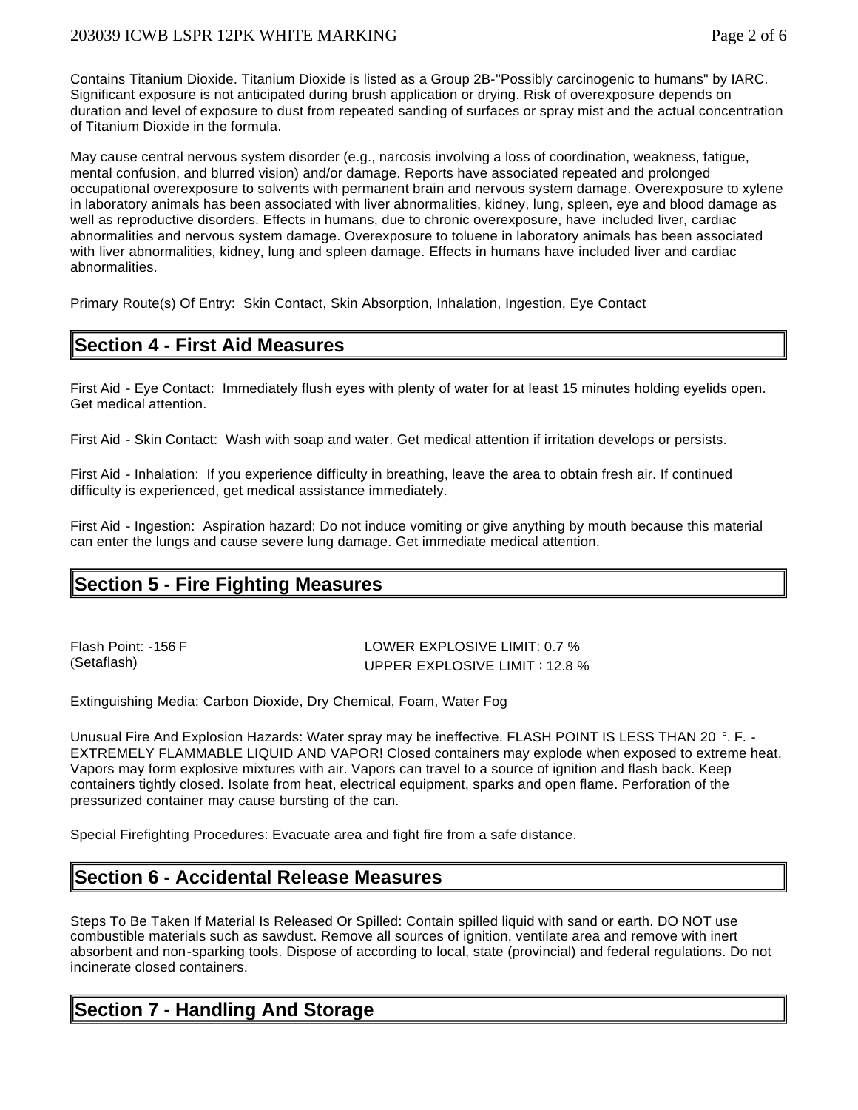## 203039 ICWB LSPR 12PK WHITE MARKING PAGE 2 of 6

Contains Titanium Dioxide. Titanium Dioxide is listed as a Group 2B-"Possibly carcinogenic to humans" by IARC. Significant exposure is not anticipated during brush application or drying. Risk of overexposure depends on duration and level of exposure to dust from repeated sanding of surfaces or spray mist and the actual concentration of Titanium Dioxide in the formula.

May cause central nervous system disorder (e.g., narcosis involving a loss of coordination, weakness, fatigue, mental confusion, and blurred vision) and/or damage. Reports have associated repeated and prolonged occupational overexposure to solvents with permanent brain and nervous system damage. Overexposure to xylene in laboratory animals has been associated with liver abnormalities, kidney, lung, spleen, eye and blood damage as well as reproductive disorders. Effects in humans, due to chronic overexposure, have included liver, cardiac abnormalities and nervous system damage. Overexposure to toluene in laboratory animals has been associated with liver abnormalities, kidney, lung and spleen damage. Effects in humans have included liver and cardiac abnormalities.

Primary Route(s) Of Entry: Skin Contact, Skin Absorption, Inhalation, Ingestion, Eye Contact

## **Section 4 - First Aid Measures**

First Aid - Eye Contact: Immediately flush eyes with plenty of water for at least 15 minutes holding eyelids open. Get medical attention.

First Aid - Skin Contact: Wash with soap and water. Get medical attention if irritation develops or persists.

First Aid - Inhalation: If you experience difficulty in breathing, leave the area to obtain fresh air. If continued difficulty is experienced, get medical assistance immediately.

First Aid - Ingestion: Aspiration hazard: Do not induce vomiting or give anything by mouth because this material can enter the lungs and cause severe lung damage. Get immediate medical attention.

## **Section 5 - Fire Fighting Measures**

Flash Point: -156 F LOWER EXPLOSIVE LIMIT: 0.7 % (Setaflash) UPPER EXPLOSIVE LIMIT : 12.8 %

Extinguishing Media: Carbon Dioxide, Dry Chemical, Foam, Water Fog

Unusual Fire And Explosion Hazards: Water spray may be ineffective. FLASH POINT IS LESS THAN 20 °. F. - EXTREMELY FLAMMABLE LIQUID AND VAPOR! Closed containers may explode when exposed to extreme heat. Vapors may form explosive mixtures with air. Vapors can travel to a source of ignition and flash back. Keep containers tightly closed. Isolate from heat, electrical equipment, sparks and open flame. Perforation of the pressurized container may cause bursting of the can.

Special Firefighting Procedures: Evacuate area and fight fire from a safe distance.

## **Section 6 - Accidental Release Measures**

Steps To Be Taken If Material Is Released Or Spilled: Contain spilled liquid with sand or earth. DO NOT use combustible materials such as sawdust. Remove all sources of ignition, ventilate area and remove with inert absorbent and non-sparking tools. Dispose of according to local, state (provincial) and federal regulations. Do not incinerate closed containers.

## **Section 7 - Handling And Storage**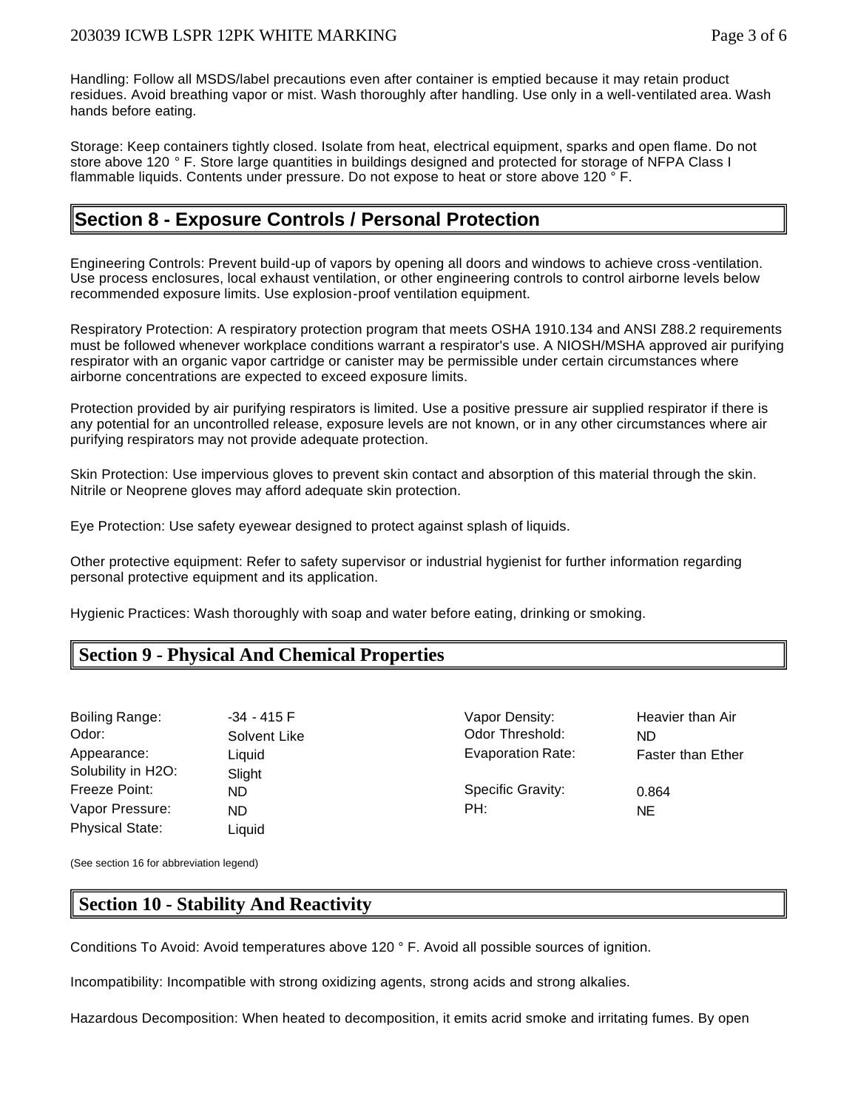Handling: Follow all MSDS/label precautions even after container is emptied because it may retain product residues. Avoid breathing vapor or mist. Wash thoroughly after handling. Use only in a well-ventilated area. Wash hands before eating.

Storage: Keep containers tightly closed. Isolate from heat, electrical equipment, sparks and open flame. Do not store above 120 ° F. Store large quantities in buildings designed and protected for storage of NFPA Class I flammable liquids. Contents under pressure. Do not expose to heat or store above 120 ° F.

## **Section 8 - Exposure Controls / Personal Protection**

Engineering Controls: Prevent build-up of vapors by opening all doors and windows to achieve cross -ventilation. Use process enclosures, local exhaust ventilation, or other engineering controls to control airborne levels below recommended exposure limits. Use explosion-proof ventilation equipment.

Respiratory Protection: A respiratory protection program that meets OSHA 1910.134 and ANSI Z88.2 requirements must be followed whenever workplace conditions warrant a respirator's use. A NIOSH/MSHA approved air purifying respirator with an organic vapor cartridge or canister may be permissible under certain circumstances where airborne concentrations are expected to exceed exposure limits.

Protection provided by air purifying respirators is limited. Use a positive pressure air supplied respirator if there is any potential for an uncontrolled release, exposure levels are not known, or in any other circumstances where air purifying respirators may not provide adequate protection.

Skin Protection: Use impervious gloves to prevent skin contact and absorption of this material through the skin. Nitrile or Neoprene gloves may afford adequate skin protection.

Eye Protection: Use safety eyewear designed to protect against splash of liquids.

Other protective equipment: Refer to safety supervisor or industrial hygienist for further information regarding personal protective equipment and its application.

Hygienic Practices: Wash thoroughly with soap and water before eating, drinking or smoking.

## **Section 9 - Physical And Chemical Properties**

| $-34 - 415$ F | Vapor Density:           | He        |
|---------------|--------------------------|-----------|
| Solvent Like  | Odor Threshold:          | <b>ND</b> |
| Liauid        | <b>Evaporation Rate:</b> | Fa:       |
| Slight        |                          |           |
| <b>ND</b>     | <b>Specific Gravity:</b> | 0.8       |
| ND.           | PH:                      | <b>NE</b> |
| Liquid        |                          |           |
|               |                          |           |

F South Range: Vapor Density: Heavier than Air ike Odor Threshold: ND Evaporation Rate: Faster than Ether Specific Gravity: 0.864

(See section 16 for abbreviation legend)

## **Section 10 - Stability And Reactivity**

Conditions To Avoid: Avoid temperatures above 120 ° F. Avoid all possible sources of ignition.

Incompatibility: Incompatible with strong oxidizing agents, strong acids and strong alkalies.

Hazardous Decomposition: When heated to decomposition, it emits acrid smoke and irritating fumes. By open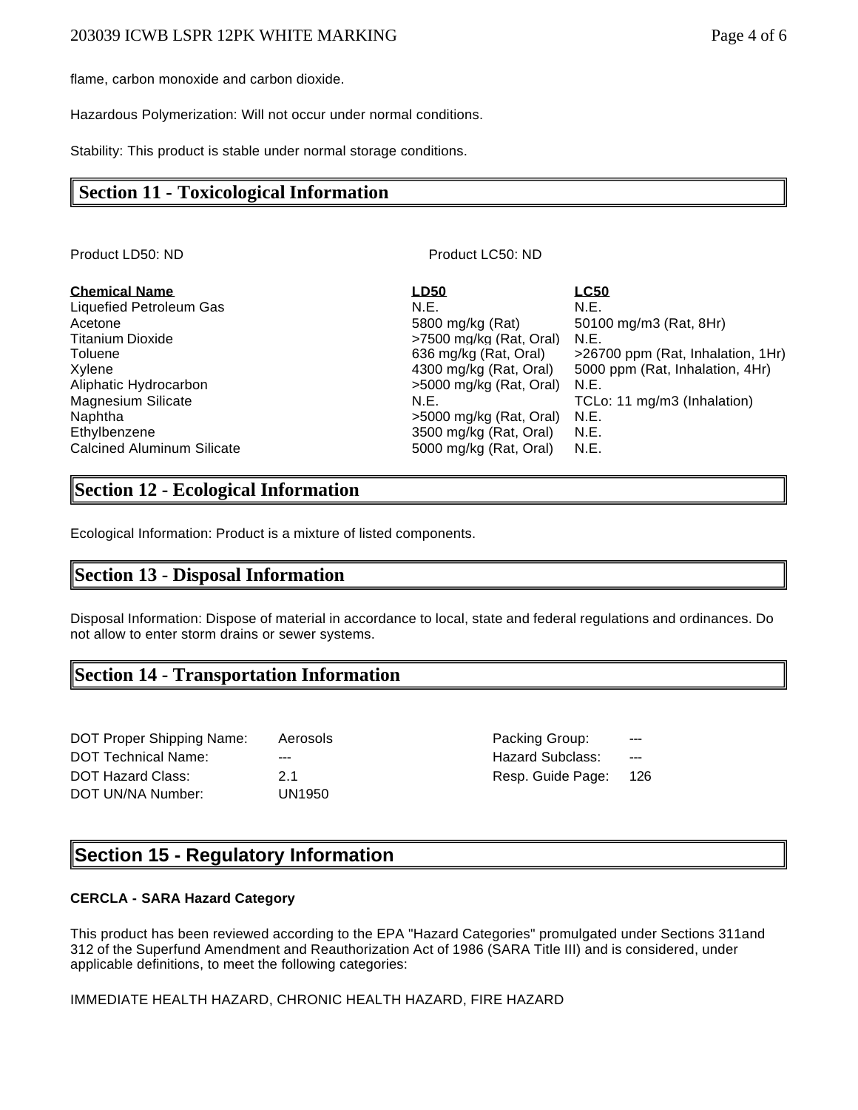#### 203039 ICWB LSPR 12PK WHITE MARKING Page 4 of 6

flame, carbon monoxide and carbon dioxide.

Hazardous Polymerization: Will not occur under normal conditions.

Stability: This product is stable under normal storage conditions.

## **Section 11 - Toxicological Information**

Product LD50: ND Product LC50: ND

| <u>Chemical Name</u>              | LD50                    | <b>LC50</b>                       |
|-----------------------------------|-------------------------|-----------------------------------|
| <b>Liquefied Petroleum Gas</b>    | N.E.                    | N.E.                              |
| Acetone                           | 5800 mg/kg (Rat)        | 50100 mg/m3 (Rat, 8Hr)            |
| Titanium Dioxide                  | >7500 mg/kg (Rat. Oral) | N.E.                              |
| Toluene                           | 636 mg/kg (Rat, Oral)   | >26700 ppm (Rat, Inhalation, 1Hr) |
| Xylene                            | 4300 mg/kg (Rat, Oral)  | 5000 ppm (Rat, Inhalation, 4Hr)   |
| Aliphatic Hydrocarbon             | >5000 mg/kg (Rat, Oral) | N.E.                              |
| Magnesium Silicate                | N.E.                    | TCLo: 11 mg/m3 (Inhalation)       |
| Naphtha                           | >5000 mg/kg (Rat, Oral) | N.E.                              |
| Ethylbenzene                      | 3500 mg/kg (Rat, Oral)  | N.E.                              |
| <b>Calcined Aluminum Silicate</b> | 5000 mg/kg (Rat, Oral)  | N.E.                              |

## **Section 12 - Ecological Information**

Ecological Information: Product is a mixture of listed components.

## **Section 13 - Disposal Information**

Disposal Information: Dispose of material in accordance to local, state and federal regulations and ordinances. Do not allow to enter storm drains or sewer systems.

## **Section 14 - Transportation Information**

| DOT Proper Shipping Name:  | Aerosols |
|----------------------------|----------|
| <b>DOT Technical Name:</b> |          |
| DOT Hazard Class:          | 21       |
| DOT UN/NA Number:          | UN1950   |

DOT Proper Shipping Name: Aerosols Packing Group: --- Hazard Subclass: ---Resp. Guide Page: 126

## **Section 15 - Regulatory Information**

#### **CERCLA - SARA Hazard Category**

This product has been reviewed according to the EPA "Hazard Categories" promulgated under Sections 311and 312 of the Superfund Amendment and Reauthorization Act of 1986 (SARA Title III) and is considered, under applicable definitions, to meet the following categories:

IMMEDIATE HEALTH HAZARD, CHRONIC HEALTH HAZARD, FIRE HAZARD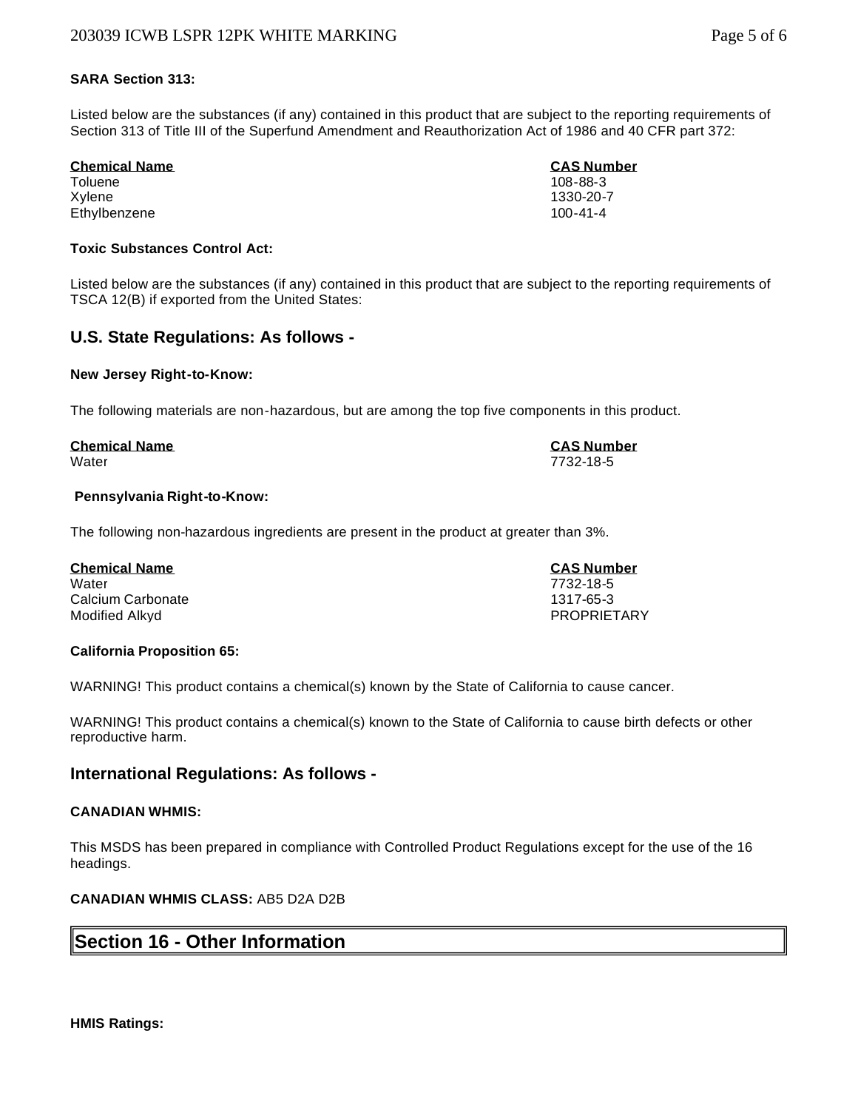#### **SARA Section 313:**

Listed below are the substances (if any) contained in this product that are subject to the reporting requirements of Section 313 of Title III of the Superfund Amendment and Reauthorization Act of 1986 and 40 CFR part 372:

| Chemical Name | <b>CAS Number</b> |
|---------------|-------------------|
| Toluene       | 108-88-3          |
| Xvlene        | 1330-20-7         |
| Ethvlbenzene  | $100 - 41 - 4$    |

#### **Toxic Substances Control Act:**

Listed below are the substances (if any) contained in this product that are subject to the reporting requirements of TSCA 12(B) if exported from the United States:

#### **U.S. State Regulations: As follows -**

#### **New Jersey Right-to-Know:**

The following materials are non-hazardous, but are among the top five components in this product.

| <b>Chemical Name</b> |  |  |
|----------------------|--|--|
|                      |  |  |

#### **Pennsylvania Right-to-Know:**

The following non-hazardous ingredients are present in the product at greater than 3%.

| <b>Chemical Name</b> | <b>CAS Number</b> |
|----------------------|-------------------|
| Water                | 7732-18-5         |
| Calcium Carbonate    | 1317-65-3         |
| Modified Alkyd       | PROPRIETARY       |

#### **California Proposition 65:**

WARNING! This product contains a chemical(s) known by the State of California to cause cancer.

WARNING! This product contains a chemical(s) known to the State of California to cause birth defects or other reproductive harm.

#### **International Regulations: As follows -**

#### **CANADIAN WHMIS:**

This MSDS has been prepared in compliance with Controlled Product Regulations except for the use of the 16 headings.

#### **CANADIAN WHMIS CLASS:** AB5 D2A D2B

## **Section 16 - Other Information**

**CAS Number** Water 7732-18-5